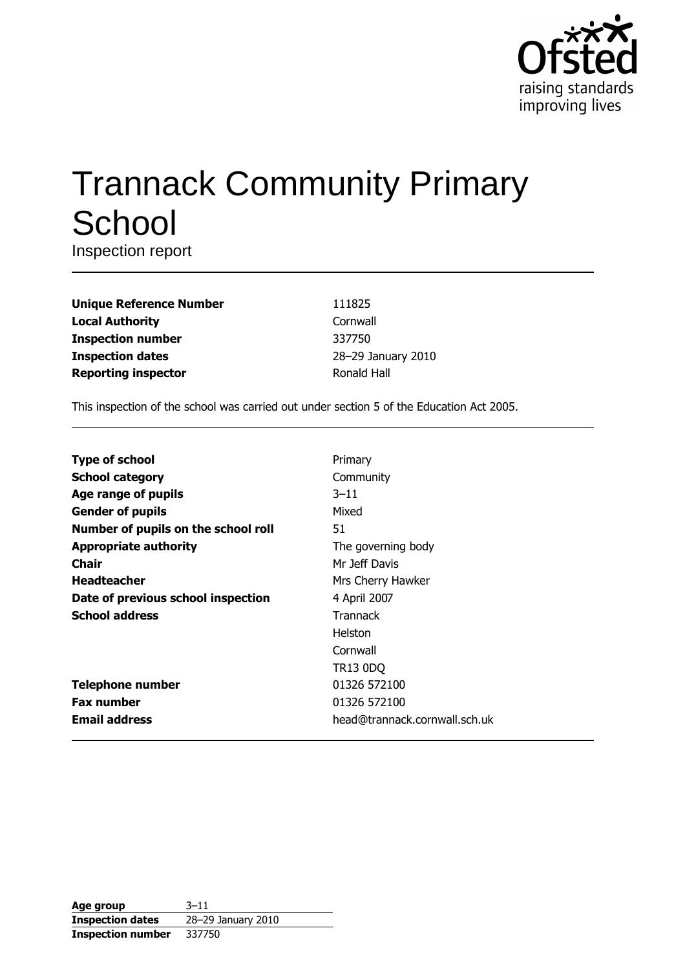

# **Trannack Community Primary** School

Inspection report

| <b>Unique Reference Number</b> |
|--------------------------------|
| <b>Local Authority</b>         |
| <b>Inspection number</b>       |
| <b>Inspection dates</b>        |
| <b>Reporting inspector</b>     |

111825 Cornwall 337750 28-29 January 2010 Ronald Hall

This inspection of the school was carried out under section 5 of the Education Act 2005.

| Primary                       |
|-------------------------------|
| Community                     |
| $3 - 11$                      |
| Mixed                         |
| 51                            |
| The governing body            |
| Mr Jeff Davis                 |
| Mrs Cherry Hawker             |
| 4 April 2007                  |
| <b>Trannack</b>               |
| <b>Helston</b>                |
| Cornwall                      |
| TR13 0DQ                      |
| 01326 572100                  |
| 01326 572100                  |
| head@trannack.cornwall.sch.uk |
|                               |

| Age group                | $3 - 11$           |
|--------------------------|--------------------|
| <b>Inspection dates</b>  | 28-29 January 2010 |
| <b>Inspection number</b> | 337750             |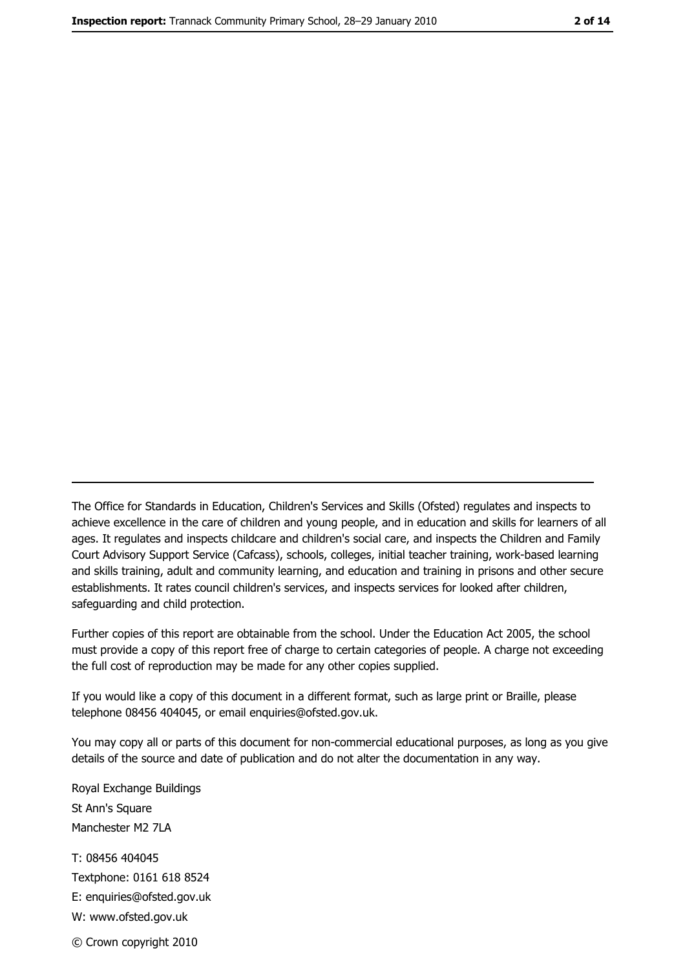The Office for Standards in Education, Children's Services and Skills (Ofsted) regulates and inspects to achieve excellence in the care of children and young people, and in education and skills for learners of all ages. It regulates and inspects childcare and children's social care, and inspects the Children and Family Court Advisory Support Service (Cafcass), schools, colleges, initial teacher training, work-based learning and skills training, adult and community learning, and education and training in prisons and other secure establishments. It rates council children's services, and inspects services for looked after children, safequarding and child protection.

Further copies of this report are obtainable from the school. Under the Education Act 2005, the school must provide a copy of this report free of charge to certain categories of people. A charge not exceeding the full cost of reproduction may be made for any other copies supplied.

If you would like a copy of this document in a different format, such as large print or Braille, please telephone 08456 404045, or email enquiries@ofsted.gov.uk.

You may copy all or parts of this document for non-commercial educational purposes, as long as you give details of the source and date of publication and do not alter the documentation in any way.

Royal Exchange Buildings St Ann's Square Manchester M2 7LA T: 08456 404045 Textphone: 0161 618 8524 E: enquiries@ofsted.gov.uk W: www.ofsted.gov.uk © Crown copyright 2010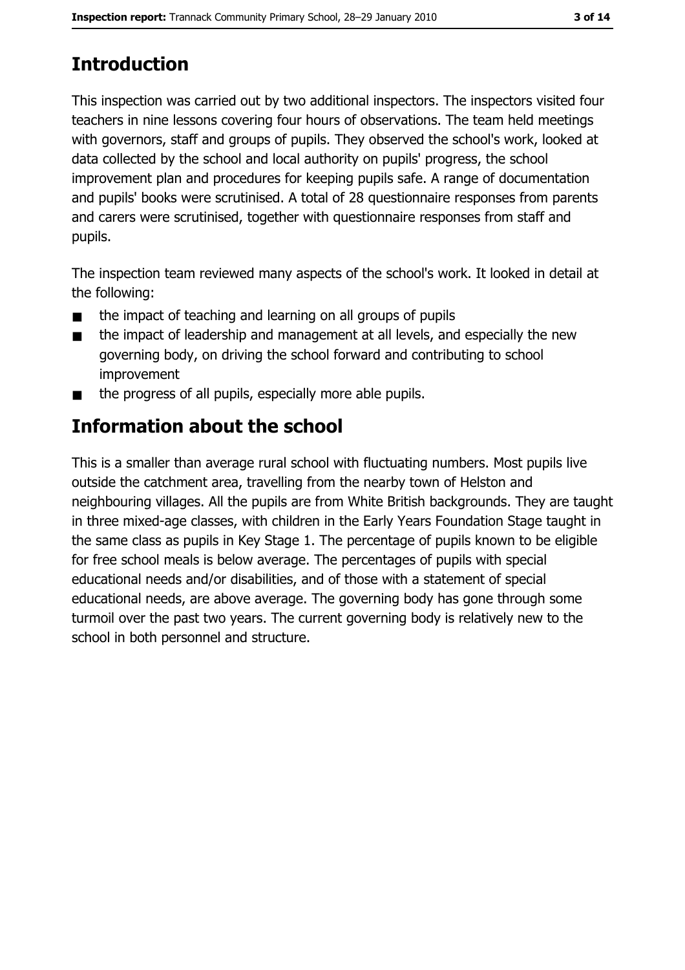# **Introduction**

This inspection was carried out by two additional inspectors. The inspectors visited four teachers in nine lessons covering four hours of observations. The team held meetings with governors, staff and groups of pupils. They observed the school's work, looked at data collected by the school and local authority on pupils' progress, the school improvement plan and procedures for keeping pupils safe. A range of documentation and pupils' books were scrutinised. A total of 28 questionnaire responses from parents and carers were scrutinised, together with questionnaire responses from staff and pupils.

The inspection team reviewed many aspects of the school's work. It looked in detail at the following:

- the impact of teaching and learning on all groups of pupils  $\blacksquare$
- the impact of leadership and management at all levels, and especially the new  $\blacksquare$ governing body, on driving the school forward and contributing to school improvement
- the progress of all pupils, especially more able pupils.

# Information about the school

This is a smaller than average rural school with fluctuating numbers. Most pupils live outside the catchment area, travelling from the nearby town of Helston and neighbouring villages. All the pupils are from White British backgrounds. They are taught in three mixed-age classes, with children in the Early Years Foundation Stage taught in the same class as pupils in Key Stage 1. The percentage of pupils known to be eligible for free school meals is below average. The percentages of pupils with special educational needs and/or disabilities, and of those with a statement of special educational needs, are above average. The governing body has gone through some turmoil over the past two years. The current governing body is relatively new to the school in both personnel and structure.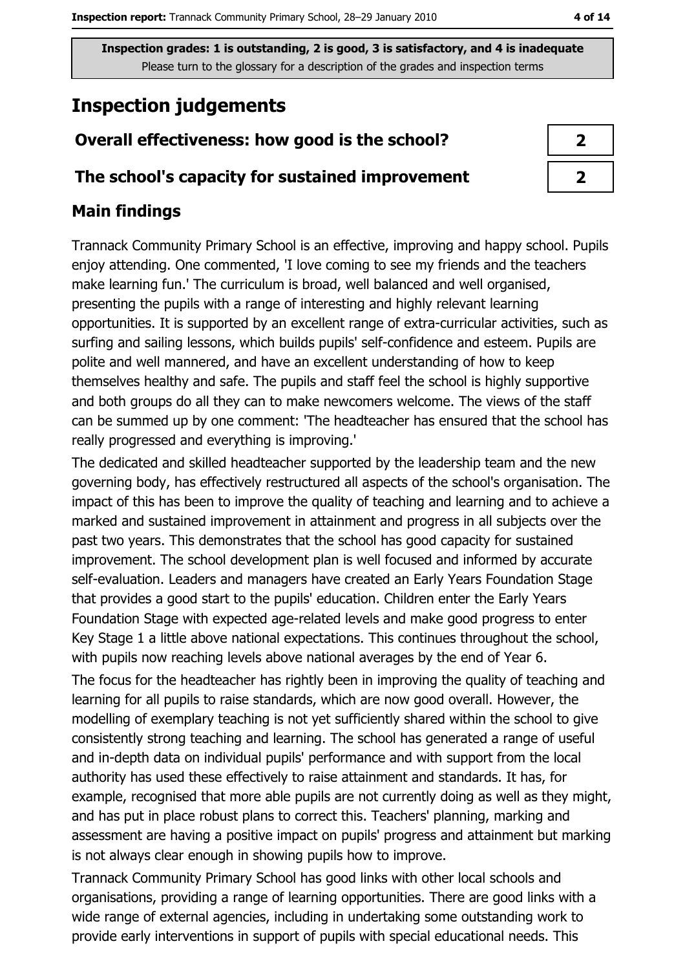# **Inspection judgements**

# Overall effectiveness: how good is the school?

## The school's capacity for sustained improvement

## **Main findings**

Trannack Community Primary School is an effective, improving and happy school. Pupils enjoy attending. One commented, 'I love coming to see my friends and the teachers make learning fun.' The curriculum is broad, well balanced and well organised, presenting the pupils with a range of interesting and highly relevant learning opportunities. It is supported by an excellent range of extra-curricular activities, such as surfing and sailing lessons, which builds pupils' self-confidence and esteem. Pupils are polite and well mannered, and have an excellent understanding of how to keep themselves healthy and safe. The pupils and staff feel the school is highly supportive and both groups do all they can to make newcomers welcome. The views of the staff can be summed up by one comment: 'The headteacher has ensured that the school has really progressed and everything is improving.'

The dedicated and skilled headteacher supported by the leadership team and the new governing body, has effectively restructured all aspects of the school's organisation. The impact of this has been to improve the quality of teaching and learning and to achieve a marked and sustained improvement in attainment and progress in all subjects over the past two years. This demonstrates that the school has good capacity for sustained improvement. The school development plan is well focused and informed by accurate self-evaluation. Leaders and managers have created an Early Years Foundation Stage that provides a good start to the pupils' education. Children enter the Early Years Foundation Stage with expected age-related levels and make good progress to enter Key Stage 1 a little above national expectations. This continues throughout the school, with pupils now reaching levels above national averages by the end of Year 6.

The focus for the headteacher has rightly been in improving the quality of teaching and learning for all pupils to raise standards, which are now good overall. However, the modelling of exemplary teaching is not yet sufficiently shared within the school to give consistently strong teaching and learning. The school has generated a range of useful and in-depth data on individual pupils' performance and with support from the local authority has used these effectively to raise attainment and standards. It has, for example, recognised that more able pupils are not currently doing as well as they might, and has put in place robust plans to correct this. Teachers' planning, marking and assessment are having a positive impact on pupils' progress and attainment but marking is not always clear enough in showing pupils how to improve.

Trannack Community Primary School has good links with other local schools and organisations, providing a range of learning opportunities. There are good links with a wide range of external agencies, including in undertaking some outstanding work to provide early interventions in support of pupils with special educational needs. This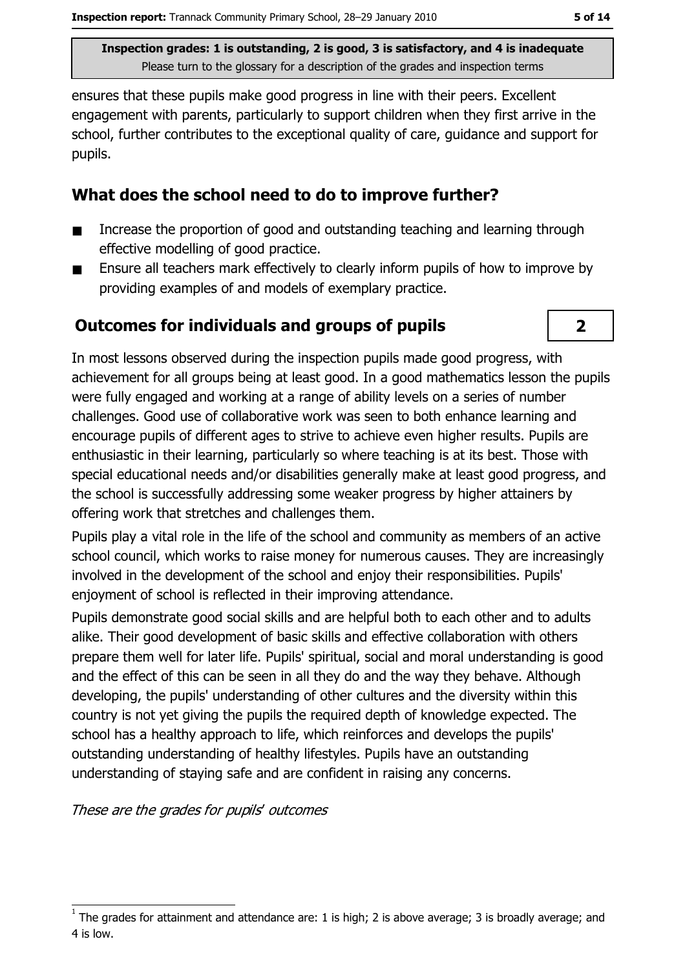ensures that these pupils make good progress in line with their peers. Excellent engagement with parents, particularly to support children when they first arrive in the school, further contributes to the exceptional quality of care, quidance and support for pupils.

#### What does the school need to do to improve further?

- Increase the proportion of good and outstanding teaching and learning through п effective modelling of good practice.
- Ensure all teachers mark effectively to clearly inform pupils of how to improve by  $\blacksquare$ providing examples of and models of exemplary practice.

## **Outcomes for individuals and groups of pupils**



In most lessons observed during the inspection pupils made good progress, with achievement for all groups being at least good. In a good mathematics lesson the pupils were fully engaged and working at a range of ability levels on a series of number challenges. Good use of collaborative work was seen to both enhance learning and encourage pupils of different ages to strive to achieve even higher results. Pupils are enthusiastic in their learning, particularly so where teaching is at its best. Those with special educational needs and/or disabilities generally make at least good progress, and the school is successfully addressing some weaker progress by higher attainers by offering work that stretches and challenges them.

Pupils play a vital role in the life of the school and community as members of an active school council, which works to raise money for numerous causes. They are increasingly involved in the development of the school and enjoy their responsibilities. Pupils' enjoyment of school is reflected in their improving attendance.

Pupils demonstrate good social skills and are helpful both to each other and to adults alike. Their good development of basic skills and effective collaboration with others prepare them well for later life. Pupils' spiritual, social and moral understanding is good and the effect of this can be seen in all they do and the way they behave. Although developing, the pupils' understanding of other cultures and the diversity within this country is not yet giving the pupils the reguired depth of knowledge expected. The school has a healthy approach to life, which reinforces and develops the pupils' outstanding understanding of healthy lifestyles. Pupils have an outstanding understanding of staying safe and are confident in raising any concerns.

These are the grades for pupils' outcomes

The grades for attainment and attendance are: 1 is high; 2 is above average; 3 is broadly average; and 4 is low.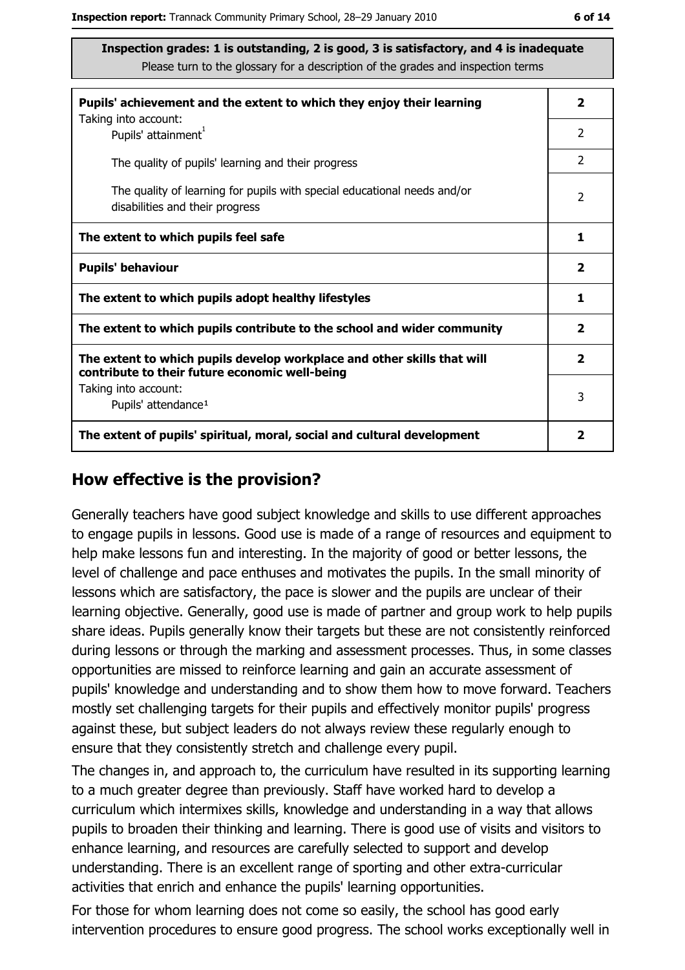| Pupils' achievement and the extent to which they enjoy their learning                                                     |                |  |  |  |  |
|---------------------------------------------------------------------------------------------------------------------------|----------------|--|--|--|--|
| Taking into account:<br>Pupils' attainment <sup>1</sup>                                                                   | $\overline{2}$ |  |  |  |  |
| The quality of pupils' learning and their progress                                                                        | $\overline{2}$ |  |  |  |  |
| The quality of learning for pupils with special educational needs and/or<br>disabilities and their progress               |                |  |  |  |  |
| The extent to which pupils feel safe                                                                                      |                |  |  |  |  |
| <b>Pupils' behaviour</b>                                                                                                  |                |  |  |  |  |
| The extent to which pupils adopt healthy lifestyles                                                                       |                |  |  |  |  |
| The extent to which pupils contribute to the school and wider community                                                   |                |  |  |  |  |
| The extent to which pupils develop workplace and other skills that will<br>contribute to their future economic well-being |                |  |  |  |  |
| Taking into account:<br>Pupils' attendance <sup>1</sup>                                                                   |                |  |  |  |  |
| The extent of pupils' spiritual, moral, social and cultural development                                                   |                |  |  |  |  |

#### How effective is the provision?

Generally teachers have good subject knowledge and skills to use different approaches to engage pupils in lessons. Good use is made of a range of resources and equipment to help make lessons fun and interesting. In the majority of good or better lessons, the level of challenge and pace enthuses and motivates the pupils. In the small minority of lessons which are satisfactory, the pace is slower and the pupils are unclear of their learning objective. Generally, good use is made of partner and group work to help pupils share ideas. Pupils generally know their targets but these are not consistently reinforced during lessons or through the marking and assessment processes. Thus, in some classes opportunities are missed to reinforce learning and gain an accurate assessment of pupils' knowledge and understanding and to show them how to move forward. Teachers mostly set challenging targets for their pupils and effectively monitor pupils' progress against these, but subject leaders do not always review these regularly enough to ensure that they consistently stretch and challenge every pupil.

The changes in, and approach to, the curriculum have resulted in its supporting learning to a much greater degree than previously. Staff have worked hard to develop a curriculum which intermixes skills, knowledge and understanding in a way that allows pupils to broaden their thinking and learning. There is good use of visits and visitors to enhance learning, and resources are carefully selected to support and develop understanding. There is an excellent range of sporting and other extra-curricular activities that enrich and enhance the pupils' learning opportunities.

For those for whom learning does not come so easily, the school has good early intervention procedures to ensure good progress. The school works exceptionally well in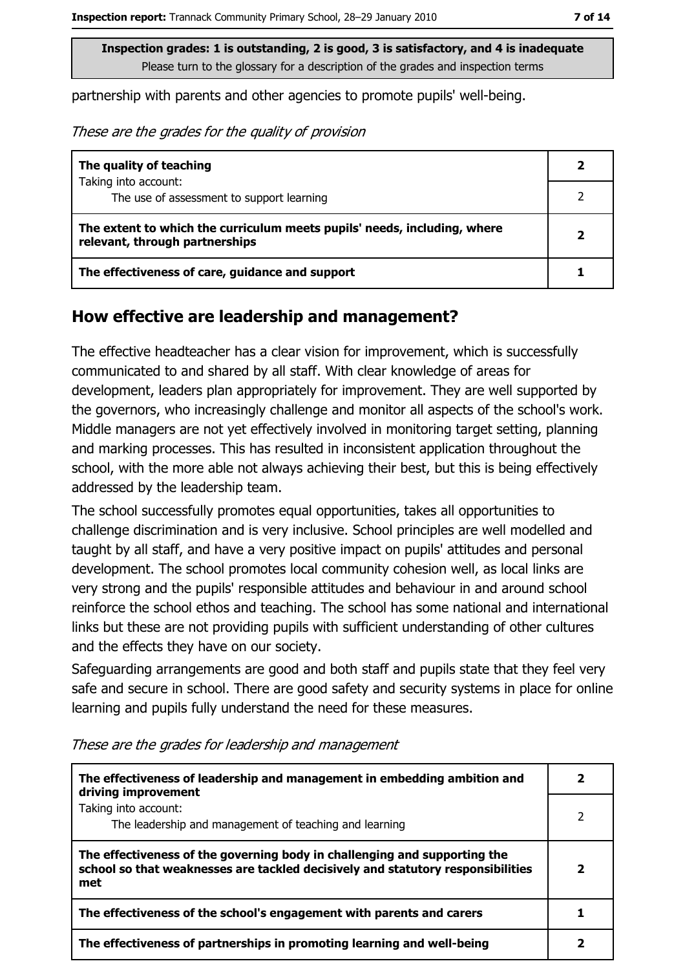partnership with parents and other agencies to promote pupils' well-being.

These are the grades for the quality of provision

| The quality of teaching                                                                                    |  |
|------------------------------------------------------------------------------------------------------------|--|
| Taking into account:                                                                                       |  |
| The use of assessment to support learning                                                                  |  |
| The extent to which the curriculum meets pupils' needs, including, where<br>relevant, through partnerships |  |
| The effectiveness of care, guidance and support                                                            |  |

#### How effective are leadership and management?

The effective headteacher has a clear vision for improvement, which is successfully communicated to and shared by all staff. With clear knowledge of areas for development, leaders plan appropriately for improvement. They are well supported by the governors, who increasingly challenge and monitor all aspects of the school's work. Middle managers are not yet effectively involved in monitoring target setting, planning and marking processes. This has resulted in inconsistent application throughout the school, with the more able not always achieving their best, but this is being effectively addressed by the leadership team.

The school successfully promotes equal opportunities, takes all opportunities to challenge discrimination and is very inclusive. School principles are well modelled and taught by all staff, and have a very positive impact on pupils' attitudes and personal development. The school promotes local community cohesion well, as local links are very strong and the pupils' responsible attitudes and behaviour in and around school reinforce the school ethos and teaching. The school has some national and international links but these are not providing pupils with sufficient understanding of other cultures and the effects they have on our society.

Safeguarding arrangements are good and both staff and pupils state that they feel very safe and secure in school. There are good safety and security systems in place for online learning and pupils fully understand the need for these measures.

| The effectiveness of leadership and management in embedding ambition and<br>driving improvement                                                                     |   |
|---------------------------------------------------------------------------------------------------------------------------------------------------------------------|---|
| Taking into account:<br>The leadership and management of teaching and learning                                                                                      | 2 |
| The effectiveness of the governing body in challenging and supporting the<br>school so that weaknesses are tackled decisively and statutory responsibilities<br>met | 2 |
| The effectiveness of the school's engagement with parents and carers                                                                                                |   |
| The effectiveness of partnerships in promoting learning and well-being                                                                                              |   |

These are the grades for leadership and management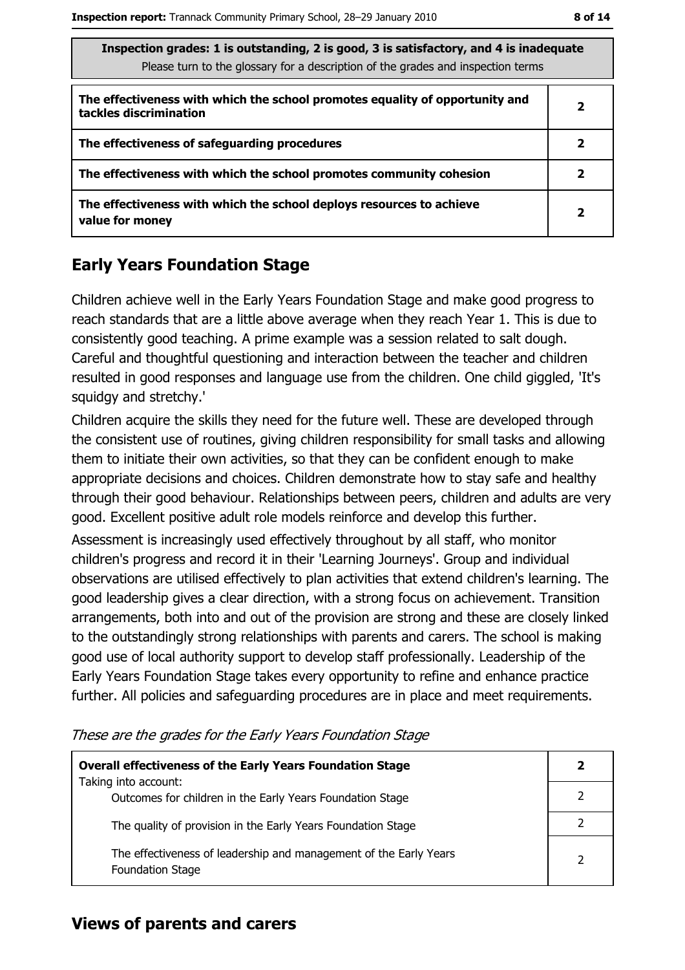| Inspection grades: 1 is outstanding, 2 is good, 3 is satisfactory, and 4 is inadequate<br>Please turn to the glossary for a description of the grades and inspection terms |   |  |
|----------------------------------------------------------------------------------------------------------------------------------------------------------------------------|---|--|
| The effectiveness with which the school promotes equality of opportunity and<br>tackles discrimination                                                                     | 2 |  |
| The effectiveness of safeguarding procedures                                                                                                                               | 2 |  |
| The effectiveness with which the school promotes community cohesion                                                                                                        | 2 |  |
| The effectiveness with which the school deploys resources to achieve<br>value for money                                                                                    | 2 |  |

# **Early Years Foundation Stage**

Children achieve well in the Early Years Foundation Stage and make good progress to reach standards that are a little above average when they reach Year 1. This is due to consistently good teaching. A prime example was a session related to salt dough. Careful and thoughtful questioning and interaction between the teacher and children resulted in good responses and language use from the children. One child giggled, 'It's squiday and stretchy.'

Children acquire the skills they need for the future well. These are developed through the consistent use of routines, giving children responsibility for small tasks and allowing them to initiate their own activities, so that they can be confident enough to make appropriate decisions and choices. Children demonstrate how to stay safe and healthy through their good behaviour. Relationships between peers, children and adults are very good. Excellent positive adult role models reinforce and develop this further.

Assessment is increasingly used effectively throughout by all staff, who monitor children's progress and record it in their 'Learning Journeys'. Group and individual observations are utilised effectively to plan activities that extend children's learning. The good leadership gives a clear direction, with a strong focus on achievement. Transition arrangements, both into and out of the provision are strong and these are closely linked to the outstandingly strong relationships with parents and carers. The school is making good use of local authority support to develop staff professionally. Leadership of the Early Years Foundation Stage takes every opportunity to refine and enhance practice further. All policies and safeguarding procedures are in place and meet requirements.

| <b>Overall effectiveness of the Early Years Foundation Stage</b>                             |                |
|----------------------------------------------------------------------------------------------|----------------|
| Taking into account:<br>Outcomes for children in the Early Years Foundation Stage            |                |
| The quality of provision in the Early Years Foundation Stage                                 |                |
| The effectiveness of leadership and management of the Early Years<br><b>Foundation Stage</b> | $\overline{2}$ |

These are the grades for the Early Years Foundation Stage

#### **Views of parents and carers**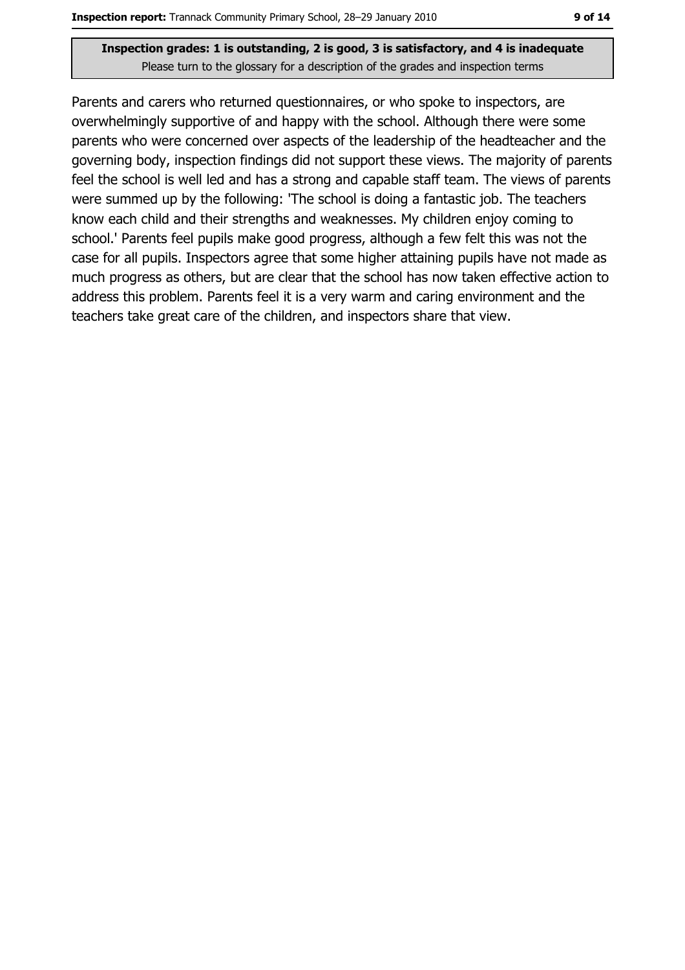Parents and carers who returned questionnaires, or who spoke to inspectors, are overwhelmingly supportive of and happy with the school. Although there were some parents who were concerned over aspects of the leadership of the headteacher and the governing body, inspection findings did not support these views. The majority of parents feel the school is well led and has a strong and capable staff team. The views of parents were summed up by the following: 'The school is doing a fantastic job. The teachers know each child and their strengths and weaknesses. My children enjoy coming to school.' Parents feel pupils make good progress, although a few felt this was not the case for all pupils. Inspectors agree that some higher attaining pupils have not made as much progress as others, but are clear that the school has now taken effective action to address this problem. Parents feel it is a very warm and caring environment and the teachers take great care of the children, and inspectors share that view.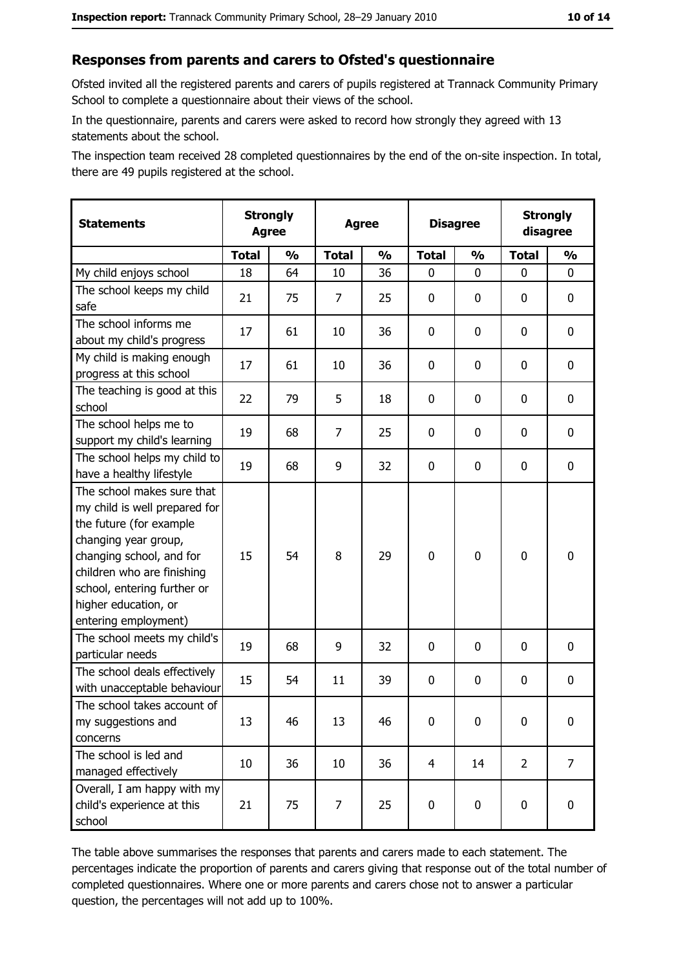#### Responses from parents and carers to Ofsted's questionnaire

Ofsted invited all the registered parents and carers of pupils registered at Trannack Community Primary School to complete a questionnaire about their views of the school.

In the questionnaire, parents and carers were asked to record how strongly they agreed with 13 statements about the school.

The inspection team received 28 completed questionnaires by the end of the on-site inspection. In total, there are 49 pupils registered at the school.

| <b>Statements</b>                                                                                                                                                                                                                                       | <b>Strongly</b><br><b>Agree</b> |               |              | <b>Agree</b>  |                | <b>Disagree</b> |                | <b>Strongly</b><br>disagree |
|---------------------------------------------------------------------------------------------------------------------------------------------------------------------------------------------------------------------------------------------------------|---------------------------------|---------------|--------------|---------------|----------------|-----------------|----------------|-----------------------------|
|                                                                                                                                                                                                                                                         | <b>Total</b>                    | $\frac{1}{2}$ | <b>Total</b> | $\frac{0}{0}$ | <b>Total</b>   | $\frac{0}{0}$   | <b>Total</b>   | $\frac{9}{6}$               |
| My child enjoys school                                                                                                                                                                                                                                  | 18                              | 64            | 10           | 36            | 0              | 0               | $\Omega$       | 0                           |
| The school keeps my child<br>safe                                                                                                                                                                                                                       | 21                              | 75            | 7            | 25            | $\mathbf 0$    | 0               | $\mathbf{0}$   | 0                           |
| The school informs me<br>about my child's progress                                                                                                                                                                                                      | 17                              | 61            | 10           | 36            | $\mathbf 0$    | 0               | 0              | 0                           |
| My child is making enough<br>progress at this school                                                                                                                                                                                                    | 17                              | 61            | 10           | 36            | $\mathbf 0$    | 0               | 0              | 0                           |
| The teaching is good at this<br>school                                                                                                                                                                                                                  | 22                              | 79            | 5            | 18            | $\mathbf 0$    | 0               | 0              | 0                           |
| The school helps me to<br>support my child's learning                                                                                                                                                                                                   | 19                              | 68            | 7            | 25            | $\mathbf 0$    | 0               | 0              | 0                           |
| The school helps my child to<br>have a healthy lifestyle                                                                                                                                                                                                | 19                              | 68            | 9            | 32            | $\mathbf 0$    | 0               | 0              | 0                           |
| The school makes sure that<br>my child is well prepared for<br>the future (for example<br>changing year group,<br>changing school, and for<br>children who are finishing<br>school, entering further or<br>higher education, or<br>entering employment) | 15                              | 54            | 8            | 29            | $\mathbf 0$    | 0               | 0              | 0                           |
| The school meets my child's<br>particular needs                                                                                                                                                                                                         | 19                              | 68            | 9            | 32            | $\mathbf 0$    | 0               | 0              | 0                           |
| The school deals effectively<br>with unacceptable behaviour                                                                                                                                                                                             | 15                              | 54            | 11           | 39            | $\mathbf 0$    | 0               | 0              | 0                           |
| The school takes account of<br>my suggestions and<br>concerns                                                                                                                                                                                           | 13                              | 46            | 13           | 46            | 0              | 0               | 0              | 0                           |
| The school is led and<br>managed effectively                                                                                                                                                                                                            | 10                              | 36            | 10           | 36            | $\overline{4}$ | 14              | $\overline{2}$ | $\overline{7}$              |
| Overall, I am happy with my<br>child's experience at this<br>school                                                                                                                                                                                     | 21                              | 75            | 7            | 25            | $\mathbf 0$    | 0               | $\mathbf 0$    | 0                           |

The table above summarises the responses that parents and carers made to each statement. The percentages indicate the proportion of parents and carers giving that response out of the total number of completed questionnaires. Where one or more parents and carers chose not to answer a particular question, the percentages will not add up to 100%.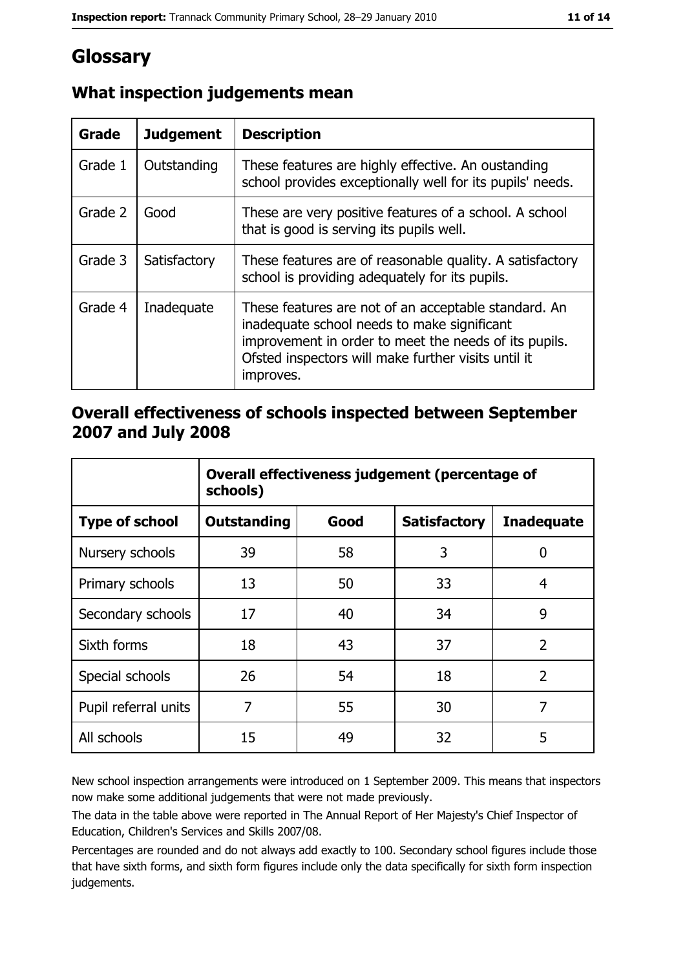# Glossary

| <b>Grade</b> | <b>Judgement</b> | <b>Description</b>                                                                                                                                                                                                               |
|--------------|------------------|----------------------------------------------------------------------------------------------------------------------------------------------------------------------------------------------------------------------------------|
| Grade 1      | Outstanding      | These features are highly effective. An oustanding<br>school provides exceptionally well for its pupils' needs.                                                                                                                  |
| Grade 2      | Good             | These are very positive features of a school. A school<br>that is good is serving its pupils well.                                                                                                                               |
| Grade 3      | Satisfactory     | These features are of reasonable quality. A satisfactory<br>school is providing adequately for its pupils.                                                                                                                       |
| Grade 4      | Inadequate       | These features are not of an acceptable standard. An<br>inadequate school needs to make significant<br>improvement in order to meet the needs of its pupils.<br>Ofsted inspectors will make further visits until it<br>improves. |

# What inspection judgements mean

## Overall effectiveness of schools inspected between September 2007 and July 2008

|                       | Overall effectiveness judgement (percentage of<br>schools) |      |                     |                   |  |  |
|-----------------------|------------------------------------------------------------|------|---------------------|-------------------|--|--|
| <b>Type of school</b> | Outstanding                                                | Good | <b>Satisfactory</b> | <b>Inadequate</b> |  |  |
| Nursery schools       | 39                                                         | 58   | 3                   | 0                 |  |  |
| Primary schools       | 13                                                         | 50   | 33                  | 4                 |  |  |
| Secondary schools     | 17                                                         | 40   | 34                  | 9                 |  |  |
| Sixth forms           | 18                                                         | 43   | 37                  | $\overline{2}$    |  |  |
| Special schools       | 26                                                         | 54   | 18                  | $\overline{2}$    |  |  |
| Pupil referral units  | 7                                                          | 55   | 30                  | 7                 |  |  |
| All schools           | 15                                                         | 49   | 32                  | 5                 |  |  |

New school inspection arrangements were introduced on 1 September 2009. This means that inspectors now make some additional judgements that were not made previously.

The data in the table above were reported in The Annual Report of Her Majesty's Chief Inspector of Education, Children's Services and Skills 2007/08.

Percentages are rounded and do not always add exactly to 100. Secondary school figures include those that have sixth forms, and sixth form figures include only the data specifically for sixth form inspection judgements.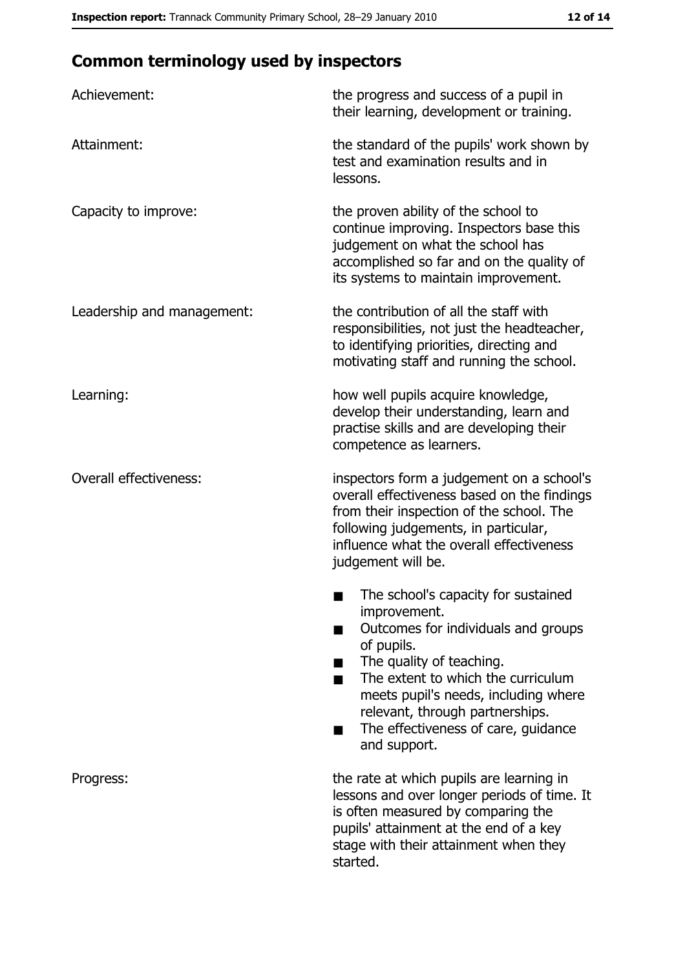# **Common terminology used by inspectors**

| Achievement:                  | the progress and success of a pupil in<br>their learning, development or training.                                                                                                                                                                                                                           |
|-------------------------------|--------------------------------------------------------------------------------------------------------------------------------------------------------------------------------------------------------------------------------------------------------------------------------------------------------------|
| Attainment:                   | the standard of the pupils' work shown by<br>test and examination results and in<br>lessons.                                                                                                                                                                                                                 |
| Capacity to improve:          | the proven ability of the school to<br>continue improving. Inspectors base this<br>judgement on what the school has<br>accomplished so far and on the quality of<br>its systems to maintain improvement.                                                                                                     |
| Leadership and management:    | the contribution of all the staff with<br>responsibilities, not just the headteacher,<br>to identifying priorities, directing and<br>motivating staff and running the school.                                                                                                                                |
| Learning:                     | how well pupils acquire knowledge,<br>develop their understanding, learn and<br>practise skills and are developing their<br>competence as learners.                                                                                                                                                          |
| <b>Overall effectiveness:</b> | inspectors form a judgement on a school's<br>overall effectiveness based on the findings<br>from their inspection of the school. The<br>following judgements, in particular,<br>influence what the overall effectiveness<br>judgement will be.                                                               |
|                               | The school's capacity for sustained<br>improvement.<br>Outcomes for individuals and groups<br>of pupils.<br>The quality of teaching.<br>The extent to which the curriculum<br>meets pupil's needs, including where<br>relevant, through partnerships.<br>The effectiveness of care, guidance<br>and support. |
| Progress:                     | the rate at which pupils are learning in<br>lessons and over longer periods of time. It<br>is often measured by comparing the<br>pupils' attainment at the end of a key<br>stage with their attainment when they<br>started.                                                                                 |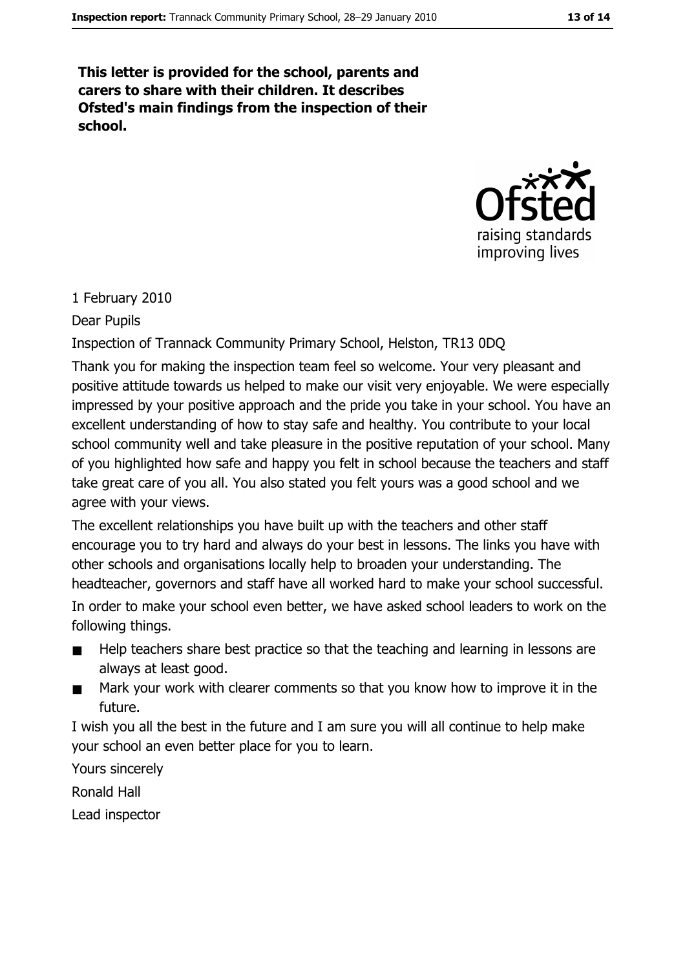This letter is provided for the school, parents and carers to share with their children. It describes Ofsted's main findings from the inspection of their school.



#### 1 February 2010

Dear Pupils

Inspection of Trannack Community Primary School, Helston, TR13 0DQ

Thank you for making the inspection team feel so welcome. Your very pleasant and positive attitude towards us helped to make our visit very enjoyable. We were especially impressed by your positive approach and the pride you take in your school. You have an excellent understanding of how to stay safe and healthy. You contribute to your local school community well and take pleasure in the positive reputation of your school. Many of you highlighted how safe and happy you felt in school because the teachers and staff take great care of you all. You also stated you felt yours was a good school and we agree with your views.

The excellent relationships you have built up with the teachers and other staff encourage you to try hard and always do your best in lessons. The links you have with other schools and organisations locally help to broaden your understanding. The headteacher, governors and staff have all worked hard to make your school successful.

In order to make your school even better, we have asked school leaders to work on the following things.

- Help teachers share best practice so that the teaching and learning in lessons are  $\blacksquare$ always at least good.
- Mark your work with clearer comments so that you know how to improve it in the  $\blacksquare$ future.

I wish you all the best in the future and I am sure you will all continue to help make your school an even better place for you to learn.

Yours sincerely

**Ronald Hall** 

Lead inspector